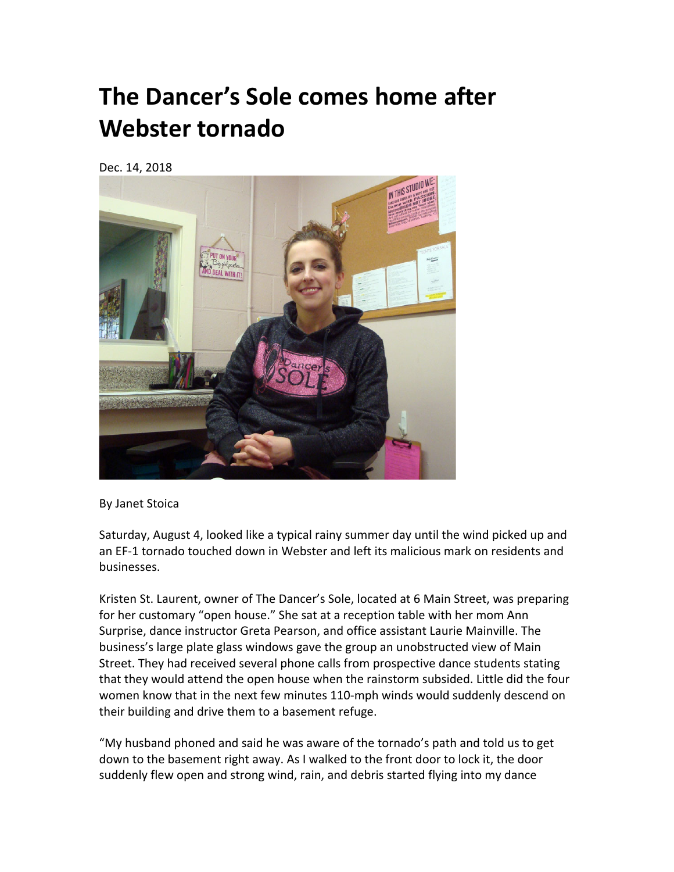## **The Dancer's Sole comes home after Webster tornado**

Dec. 14, 2018



**By Janet Stoica** 

Saturday, August 4, looked like a typical rainy summer day until the wind picked up and an EF-1 tornado touched down in Webster and left its malicious mark on residents and businesses.

Kristen St. Laurent, owner of The Dancer's Sole, located at 6 Main Street, was preparing for her customary "open house." She sat at a reception table with her mom Ann Surprise, dance instructor Greta Pearson, and office assistant Laurie Mainville. The business's large plate glass windows gave the group an unobstructed view of Main Street. They had received several phone calls from prospective dance students stating that they would attend the open house when the rainstorm subsided. Little did the four women know that in the next few minutes 110-mph winds would suddenly descend on their building and drive them to a basement refuge.

"My husband phoned and said he was aware of the tornado's path and told us to get down to the basement right away. As I walked to the front door to lock it, the door suddenly flew open and strong wind, rain, and debris started flying into my dance